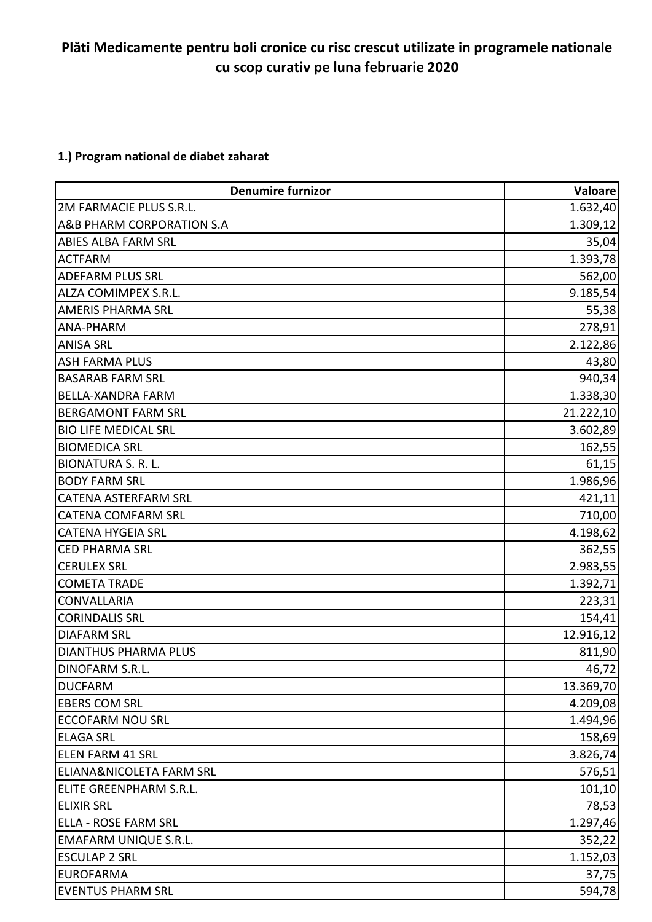## **Plăti Medicamente pentru boli cronice cu risc crescut utilizate in programele nationale cu scop curativ pe luna februarie 2020**

### **1.) Program national de diabet zaharat**

| <b>Denumire furnizor</b>            | Valoare   |
|-------------------------------------|-----------|
| 2M FARMACIE PLUS S.R.L.             | 1.632,40  |
| A&B PHARM CORPORATION S.A           | 1.309, 12 |
| <b>ABIES ALBA FARM SRL</b>          | 35,04     |
| <b>ACTFARM</b>                      | 1.393,78  |
| <b>ADEFARM PLUS SRL</b>             | 562,00    |
| <b>ALZA COMIMPEX S.R.L.</b>         | 9.185,54  |
| <b>AMERIS PHARMA SRL</b>            | 55,38     |
| ANA-PHARM                           | 278,91    |
| <b>ANISA SRL</b>                    | 2.122,86  |
| <b>ASH FARMA PLUS</b>               | 43,80     |
| <b>BASARAB FARM SRL</b>             | 940,34    |
| BELLA-XANDRA FARM                   | 1.338,30  |
| <b>BERGAMONT FARM SRL</b>           | 21.222,10 |
| <b>BIO LIFE MEDICAL SRL</b>         | 3.602,89  |
| <b>BIOMEDICA SRL</b>                | 162,55    |
| <b>BIONATURA S. R. L.</b>           | 61,15     |
| <b>BODY FARM SRL</b>                | 1.986,96  |
| <b>CATENA ASTERFARM SRL</b>         | 421,11    |
| <b>CATENA COMFARM SRL</b>           | 710,00    |
| <b>CATENA HYGEIA SRL</b>            | 4.198,62  |
| <b>CED PHARMA SRL</b>               | 362,55    |
| <b>CERULEX SRL</b>                  | 2.983,55  |
| <b>COMETA TRADE</b>                 | 1.392,71  |
| <b>CONVALLARIA</b>                  | 223,31    |
| <b>CORINDALIS SRL</b>               | 154,41    |
| <b>DIAFARM SRL</b>                  | 12.916,12 |
| <b>DIANTHUS PHARMA PLUS</b>         | 811,90    |
| DINOFARM S.R.L                      | 46,72     |
| <b>DUCFARM</b>                      | 13.369,70 |
| <b>EBERS COM SRL</b>                | 4.209,08  |
| ECCOFARM NOU SRL                    | 1.494,96  |
| <b>ELAGA SRL</b>                    | 158,69    |
| <b>ELEN FARM 41 SRL</b>             | 3.826,74  |
| <b>ELIANA&amp;NICOLETA FARM SRL</b> | 576,51    |
| ELITE GREENPHARM S.R.L.             | 101,10    |
| <b>ELIXIR SRL</b>                   | 78,53     |
| <b>ELLA - ROSE FARM SRL</b>         | 1.297,46  |
| <b>EMAFARM UNIQUE S.R.L.</b>        | 352,22    |
| <b>ESCULAP 2 SRL</b>                | 1.152,03  |
| <b>EUROFARMA</b>                    | 37,75     |
| <b>EVENTUS PHARM SRL</b>            | 594,78    |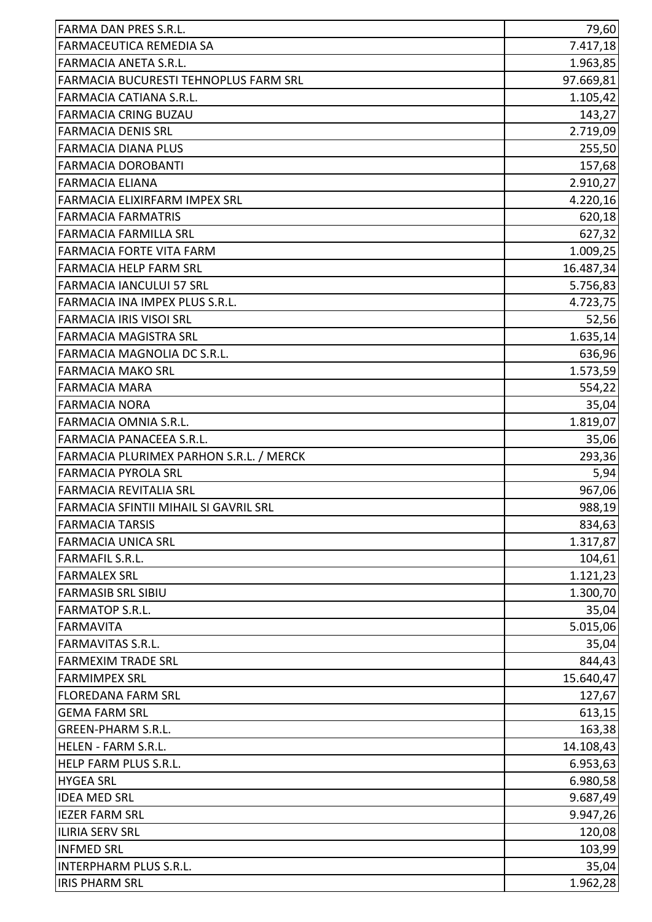| FARMA DAN PRES S.R.L.                   | 79,60     |
|-----------------------------------------|-----------|
| <b>FARMACEUTICA REMEDIA SA</b>          | 7.417,18  |
| <b>FARMACIA ANETA S.R.L.</b>            | 1.963,85  |
| FARMACIA BUCURESTI TEHNOPLUS FARM SRL   | 97.669,81 |
| <b>FARMACIA CATIANA S.R.L.</b>          | 1.105,42  |
| <b>FARMACIA CRING BUZAU</b>             | 143,27    |
| <b>FARMACIA DENIS SRL</b>               | 2.719,09  |
| <b>FARMACIA DIANA PLUS</b>              | 255,50    |
| <b>FARMACIA DOROBANTI</b>               | 157,68    |
| <b>FARMACIA ELIANA</b>                  | 2.910,27  |
| <b>FARMACIA ELIXIRFARM IMPEX SRL</b>    | 4.220,16  |
| <b>FARMACIA FARMATRIS</b>               | 620,18    |
| <b>FARMACIA FARMILLA SRL</b>            | 627,32    |
| FARMACIA FORTE VITA FARM                | 1.009,25  |
| <b>FARMACIA HELP FARM SRL</b>           | 16.487,34 |
| FARMACIA IANCULUI 57 SRL                | 5.756,83  |
| FARMACIA INA IMPEX PLUS S.R.L.          | 4.723,75  |
| <b>FARMACIA IRIS VISOI SRL</b>          | 52,56     |
| FARMACIA MAGISTRA SRL                   | 1.635,14  |
| FARMACIA MAGNOLIA DC S.R.L.             | 636,96    |
| <b>FARMACIA MAKO SRL</b>                | 1.573,59  |
| <b>FARMACIA MARA</b>                    | 554,22    |
| <b>FARMACIA NORA</b>                    | 35,04     |
| <b>FARMACIA OMNIA S.R.L.</b>            | 1.819,07  |
| FARMACIA PANACEEA S.R.L.                | 35,06     |
| FARMACIA PLURIMEX PARHON S.R.L. / MERCK | 293,36    |
| <b>FARMACIA PYROLA SRL</b>              | 5,94      |
| <b>FARMACIA REVITALIA SRL</b>           | 967,06    |
| FARMACIA SFINTII MIHAIL SI GAVRIL SRL   | 988,19    |
| <b>FARMACIA TARSIS</b>                  | 834,63    |
| <b>FARMACIA UNICA SRL</b>               | 1.317,87  |
| <b>FARMAFIL S.R.L.</b>                  | 104,61    |
| <b>FARMALEX SRL</b>                     | 1.121,23  |
| <b>FARMASIB SRL SIBIU</b>               | 1.300,70  |
| <b>FARMATOP S.R.L.</b>                  | 35,04     |
| FARMAVITA                               | 5.015,06  |
| <b>FARMAVITAS S.R.L.</b>                | 35,04     |
| <b>FARMEXIM TRADE SRL</b>               | 844,43    |
| <b>FARMIMPEX SRL</b>                    | 15.640,47 |
| <b>FLOREDANA FARM SRL</b>               | 127,67    |
| <b>GEMA FARM SRL</b>                    | 613,15    |
| <b>GREEN-PHARM S.R.L.</b>               | 163,38    |
| <b>HELEN - FARM S.R.L.</b>              | 14.108,43 |
| HELP FARM PLUS S.R.L.                   | 6.953,63  |
| <b>HYGEA SRL</b>                        | 6.980,58  |
| <b>IDEA MED SRL</b>                     | 9.687,49  |
| <b>IEZER FARM SRL</b>                   | 9.947,26  |
| <b>ILIRIA SERV SRL</b>                  | 120,08    |
| <b>INFMED SRL</b>                       | 103,99    |
| <b>INTERPHARM PLUS S.R.L.</b>           | 35,04     |
| <b>IRIS PHARM SRL</b>                   | 1.962,28  |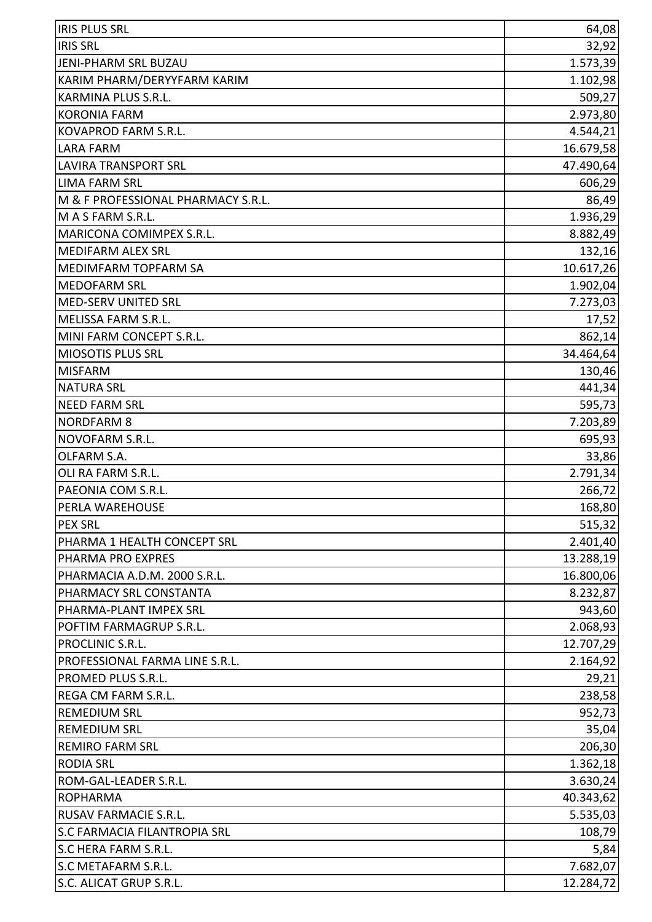| <b>IRIS PLUS SRL</b>                | 64,08     |
|-------------------------------------|-----------|
| <b>IRIS SRL</b>                     | 32,92     |
| JENI-PHARM SRL BUZAU                | 1.573,39  |
| KARIM PHARM/DERYYFARM KARIM         | 1.102,98  |
| KARMINA PLUS S.R.L.                 | 509,27    |
| <b>KORONIA FARM</b>                 | 2.973,80  |
| KOVAPROD FARM S.R.L.                | 4.544,21  |
| <b>LARA FARM</b>                    | 16.679,58 |
| <b>LAVIRA TRANSPORT SRL</b>         | 47.490,64 |
| <b>LIMA FARM SRL</b>                | 606,29    |
| M & F PROFESSIONAL PHARMACY S.R.L.  | 86,49     |
| M A S FARM S.R.L.                   | 1.936,29  |
| MARICONA COMIMPEX S.R.L.            | 8.882,49  |
| <b>MEDIFARM ALEX SRL</b>            | 132,16    |
| MEDIMFARM TOPFARM SA                | 10.617,26 |
| <b>MEDOFARM SRL</b>                 | 1.902,04  |
| <b>MED-SERV UNITED SRL</b>          | 7.273,03  |
| <b>MELISSA FARM S.R.L.</b>          | 17,52     |
| MINI FARM CONCEPT S.R.L.            | 862,14    |
| <b>MIOSOTIS PLUS SRL</b>            | 34.464,64 |
| <b>MISFARM</b>                      | 130,46    |
| <b>NATURA SRL</b>                   | 441,34    |
| <b>NEED FARM SRL</b>                | 595,73    |
| <b>NORDFARM 8</b>                   | 7.203,89  |
| NOVOFARM S.R.L.                     | 695,93    |
| OLFARM S.A.                         | 33,86     |
| OLI RA FARM S.R.L.                  | 2.791,34  |
| PAEONIA COM S.R.L.                  | 266,72    |
| PERLA WAREHOUSE                     | 168,80    |
| <b>PEX SRL</b>                      | 515,32    |
| PHARMA 1 HEALTH CONCEPT SRL         | 2.401,40  |
| PHARMA PRO EXPRES                   | 13.288,19 |
| PHARMACIA A.D.M. 2000 S.R.L.        | 16.800,06 |
| PHARMACY SRL CONSTANTA              | 8.232,87  |
| PHARMA-PLANT IMPEX SRL              | 943,60    |
| POFTIM FARMAGRUP S.R.L.             | 2.068,93  |
| PROCLINIC S.R.L.                    | 12.707,29 |
| PROFESSIONAL FARMA LINE S.R.L.      | 2.164,92  |
| PROMED PLUS S.R.L.                  | 29,21     |
| REGA CM FARM S.R.L.                 | 238,58    |
| <b>REMEDIUM SRL</b>                 | 952,73    |
| <b>REMEDIUM SRL</b>                 | 35,04     |
| <b>REMIRO FARM SRL</b>              | 206,30    |
| <b>RODIA SRL</b>                    | 1.362,18  |
| ROM-GAL-LEADER S.R.L.               | 3.630,24  |
| <b>ROPHARMA</b>                     | 40.343,62 |
| <b>RUSAV FARMACIE S.R.L.</b>        | 5.535,03  |
| <b>S.C FARMACIA FILANTROPIA SRL</b> | 108,79    |
| S.C HERA FARM S.R.L.                | 5,84      |
| S.C METAFARM S.R.L.                 | 7.682,07  |
| S.C. ALICAT GRUP S.R.L.             | 12.284,72 |
|                                     |           |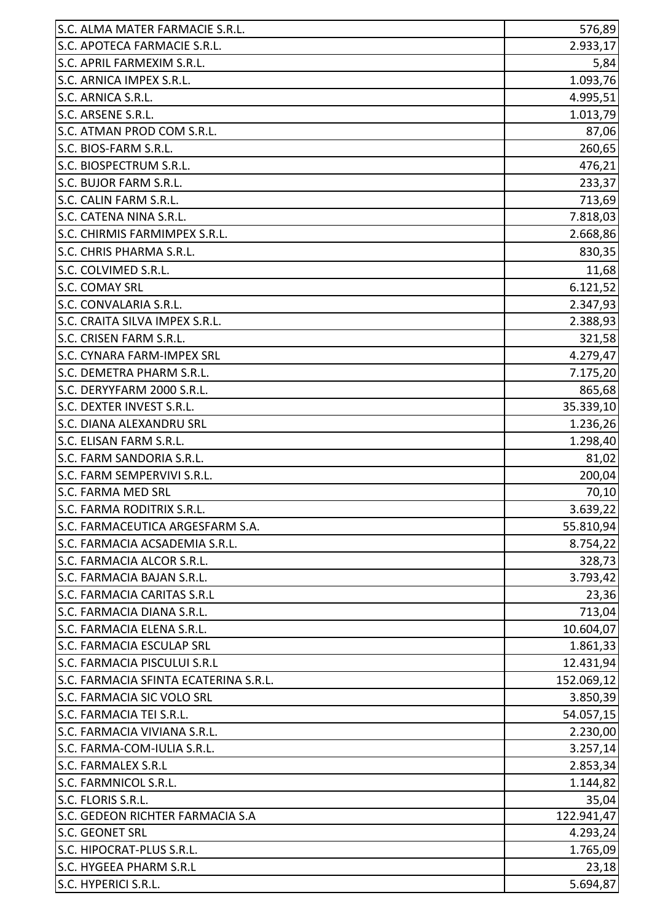| S.C. ALMA MATER FARMACIE S.R.L.       | 576,89     |
|---------------------------------------|------------|
| S.C. APOTECA FARMACIE S.R.L.          | 2.933,17   |
| S.C. APRIL FARMEXIM S.R.L.            | 5,84       |
| S.C. ARNICA IMPEX S.R.L.              | 1.093,76   |
| S.C. ARNICA S.R.L.                    | 4.995,51   |
| S.C. ARSENE S.R.L.                    | 1.013,79   |
| S.C. ATMAN PROD COM S.R.L.            | 87,06      |
| S.C. BIOS-FARM S.R.L.                 | 260,65     |
| S.C. BIOSPECTRUM S.R.L.               | 476,21     |
| S.C. BUJOR FARM S.R.L.                | 233,37     |
| S.C. CALIN FARM S.R.L.                | 713,69     |
| S.C. CATENA NINA S.R.L.               | 7.818,03   |
| S.C. CHIRMIS FARMIMPEX S.R.L.         | 2.668,86   |
| S.C. CHRIS PHARMA S.R.L.              | 830,35     |
| S.C. COLVIMED S.R.L.                  | 11,68      |
| <b>S.C. COMAY SRL</b>                 | 6.121,52   |
| S.C. CONVALARIA S.R.L.                | 2.347,93   |
| S.C. CRAITA SILVA IMPEX S.R.L.        | 2.388,93   |
| S.C. CRISEN FARM S.R.L.               | 321,58     |
| S.C. CYNARA FARM-IMPEX SRL            | 4.279,47   |
| S.C. DEMETRA PHARM S.R.L.             | 7.175,20   |
| S.C. DERYYFARM 2000 S.R.L.            | 865,68     |
| S.C. DEXTER INVEST S.R.L.             | 35.339,10  |
| S.C. DIANA ALEXANDRU SRL              | 1.236,26   |
| S.C. ELISAN FARM S.R.L.               | 1.298,40   |
| S.C. FARM SANDORIA S.R.L.             | 81,02      |
| S.C. FARM SEMPERVIVI S.R.L.           | 200,04     |
| S.C. FARMA MED SRL                    | 70,10      |
| S.C. FARMA RODITRIX S.R.L.            | 3.639,22   |
| S.C. FARMACEUTICA ARGESFARM S.A.      | 55.810,94  |
| S.C. FARMACIA ACSADEMIA S.R.L.        | 8.754,22   |
| <b>S.C. FARMACIA ALCOR S.R.L.</b>     | 328,73     |
| S.C. FARMACIA BAJAN S.R.L.            | 3.793,42   |
| <b>S.C. FARMACIA CARITAS S.R.L</b>    | 23,36      |
| S.C. FARMACIA DIANA S.R.L.            | 713,04     |
| S.C. FARMACIA ELENA S.R.L.            | 10.604,07  |
| S.C. FARMACIA ESCULAP SRL             | 1.861,33   |
| S.C. FARMACIA PISCULUI S.R.L          | 12.431,94  |
| S.C. FARMACIA SFINTA ECATERINA S.R.L. | 152.069,12 |
| <b>S.C. FARMACIA SIC VOLO SRL</b>     | 3.850,39   |
| S.C. FARMACIA TEI S.R.L.              | 54.057,15  |
| S.C. FARMACIA VIVIANA S.R.L.          | 2.230,00   |
| S.C. FARMA-COM-IULIA S.R.L.           | 3.257,14   |
| <b>S.C. FARMALEX S.R.L</b>            | 2.853,34   |
| S.C. FARMNICOL S.R.L.                 | 1.144,82   |
| S.C. FLORIS S.R.L.                    | 35,04      |
| S.C. GEDEON RICHTER FARMACIA S.A      | 122.941,47 |
| S.C. GEONET SRL                       | 4.293,24   |
| S.C. HIPOCRAT-PLUS S.R.L.             | 1.765,09   |
| S.C. HYGEEA PHARM S.R.L               | 23,18      |
| S.C. HYPERICI S.R.L.                  | 5.694,87   |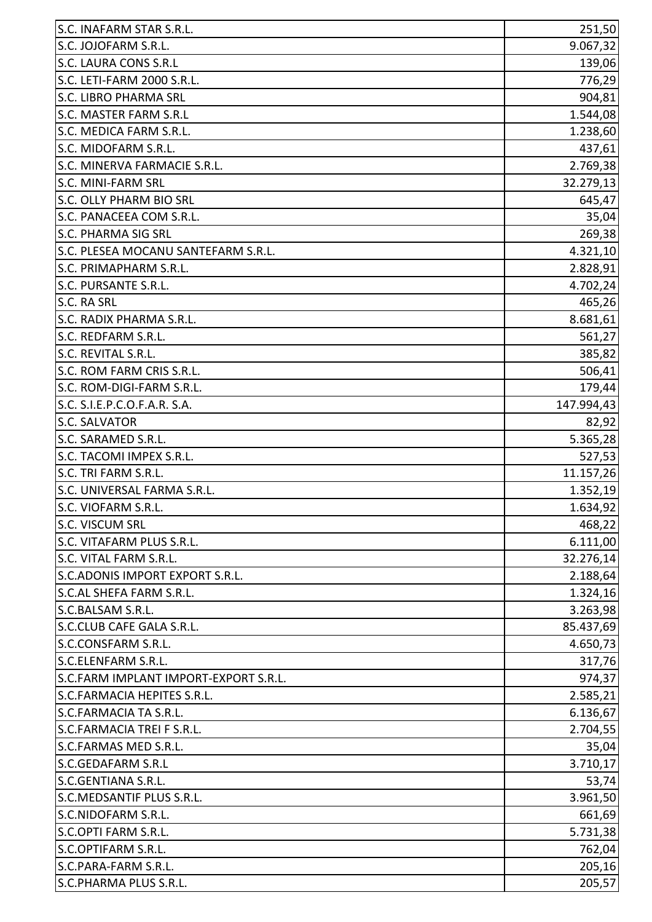| S.C. INAFARM STAR S.R.L.              | 251,50     |
|---------------------------------------|------------|
| S.C. JOJOFARM S.R.L.                  | 9.067,32   |
| S.C. LAURA CONS S.R.L                 | 139,06     |
| S.C. LETI-FARM 2000 S.R.L.            | 776,29     |
| <b>S.C. LIBRO PHARMA SRL</b>          | 904,81     |
| <b>S.C. MASTER FARM S.R.L</b>         | 1.544,08   |
| S.C. MEDICA FARM S.R.L.               | 1.238,60   |
| S.C. MIDOFARM S.R.L.                  | 437,61     |
| S.C. MINERVA FARMACIE S.R.L.          | 2.769,38   |
| S.C. MINI-FARM SRL                    | 32.279,13  |
| S.C. OLLY PHARM BIO SRL               | 645,47     |
| S.C. PANACEEA COM S.R.L.              | 35,04      |
| <b>S.C. PHARMA SIG SRL</b>            | 269,38     |
| S.C. PLESEA MOCANU SANTEFARM S.R.L.   | 4.321,10   |
| S.C. PRIMAPHARM S.R.L.                | 2.828,91   |
| S.C. PURSANTE S.R.L.                  | 4.702,24   |
| S.C. RA SRL                           | 465,26     |
| S.C. RADIX PHARMA S.R.L.              | 8.681,61   |
| S.C. REDFARM S.R.L.                   | 561,27     |
| S.C. REVITAL S.R.L.                   | 385,82     |
| S.C. ROM FARM CRIS S.R.L.             | 506,41     |
| S.C. ROM-DIGI-FARM S.R.L.             | 179,44     |
| S.C. S.I.E.P.C.O.F.A.R. S.A.          | 147.994,43 |
| <b>S.C. SALVATOR</b>                  | 82,92      |
| S.C. SARAMED S.R.L.                   | 5.365,28   |
| S.C. TACOMI IMPEX S.R.L.              | 527,53     |
| S.C. TRI FARM S.R.L.                  | 11.157,26  |
| S.C. UNIVERSAL FARMA S.R.L.           | 1.352,19   |
| S.C. VIOFARM S.R.L.                   | 1.634,92   |
| S.C. VISCUM SRL                       | 468,22     |
| S.C. VITAFARM PLUS S.R.L.             | 6.111,00   |
| S.C. VITAL FARM S.R.L.                | 32.276,14  |
| S.C. ADONIS IMPORT EXPORT S.R.L.      | 2.188,64   |
| S.C.AL SHEFA FARM S.R.L.              | 1.324,16   |
| S.C.BALSAM S.R.L.                     | 3.263,98   |
| S.C.CLUB CAFE GALA S.R.L.             | 85.437,69  |
| S.C.CONSFARM S.R.L.                   | 4.650,73   |
| S.C.ELENFARM S.R.L.                   | 317,76     |
| S.C.FARM IMPLANT IMPORT-EXPORT S.R.L. | 974,37     |
| S.C.FARMACIA HEPITES S.R.L.           | 2.585,21   |
| S.C.FARMACIA TA S.R.L.                | 6.136,67   |
| S.C.FARMACIA TREI F S.R.L.            | 2.704,55   |
| S.C.FARMAS MED S.R.L.                 | 35,04      |
| <b>S.C.GEDAFARM S.R.L</b>             | 3.710,17   |
| S.C.GENTIANA S.R.L.                   | 53,74      |
| S.C.MEDSANTIF PLUS S.R.L.             | 3.961,50   |
| S.C.NIDOFARM S.R.L.                   | 661,69     |
| S.C.OPTI FARM S.R.L.                  | 5.731,38   |
| S.C.OPTIFARM S.R.L.                   | 762,04     |
| S.C.PARA-FARM S.R.L.                  | 205,16     |
| S.C.PHARMA PLUS S.R.L.                | 205,57     |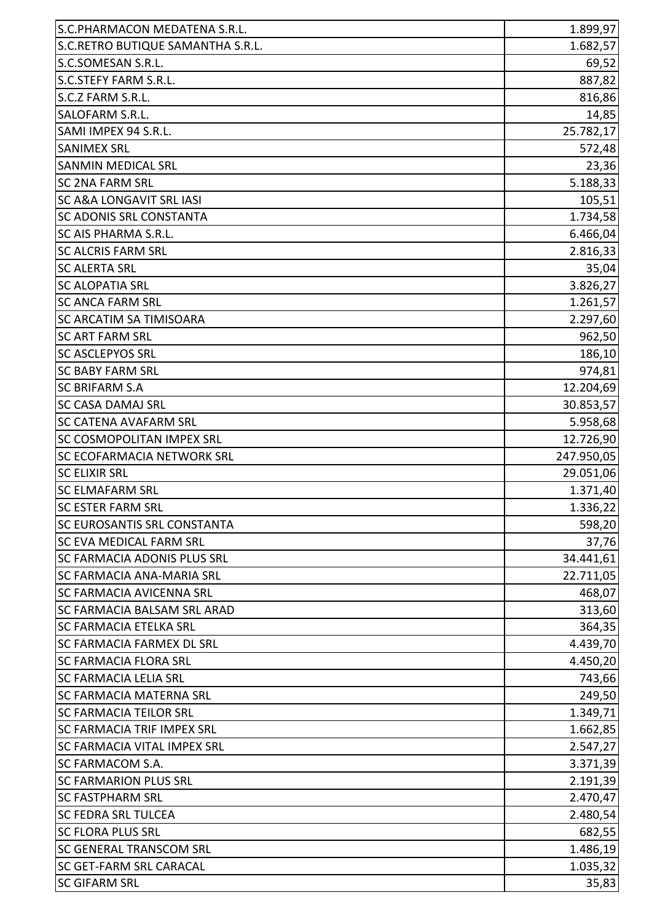| S.C.RETRO BUTIQUE SAMANTHA S.R.L.<br>S.C.SOMESAN S.R.L. | 1.682,57   |
|---------------------------------------------------------|------------|
|                                                         | 69,52      |
|                                                         |            |
| S.C.STEFY FARM S.R.L.                                   | 887,82     |
| S.C.Z FARM S.R.L.                                       | 816,86     |
| SALOFARM S.R.L.                                         | 14,85      |
| SAMI IMPEX 94 S.R.L.                                    | 25.782,17  |
| <b>SANIMEX SRL</b>                                      | 572,48     |
| <b>SANMIN MEDICAL SRL</b>                               | 23,36      |
| <b>SC 2NA FARM SRL</b>                                  | 5.188,33   |
| <b>SC A&amp;A LONGAVIT SRL IASI</b>                     | 105,51     |
| <b>SC ADONIS SRL CONSTANTA</b>                          | 1.734,58   |
| SC AIS PHARMA S.R.L.                                    | 6.466,04   |
| <b>SC ALCRIS FARM SRL</b>                               | 2.816,33   |
| <b>SC ALERTA SRL</b>                                    | 35,04      |
| <b>SC ALOPATIA SRL</b>                                  | 3.826,27   |
| <b>SC ANCA FARM SRL</b>                                 | 1.261,57   |
| SC ARCATIM SA TIMISOARA                                 | 2.297,60   |
| <b>ISC ART FARM SRL</b>                                 | 962,50     |
| <b>SC ASCLEPYOS SRL</b>                                 | 186,10     |
| <b>SC BABY FARM SRL</b>                                 | 974,81     |
| <b>SC BRIFARM S.A</b>                                   | 12.204,69  |
| <b>SC CASA DAMAJ SRL</b>                                | 30.853,57  |
| <b>SC CATENA AVAFARM SRL</b>                            | 5.958,68   |
| <b>SC COSMOPOLITAN IMPEX SRL</b>                        | 12.726,90  |
| <b>SC ECOFARMACIA NETWORK SRL</b>                       | 247.950,05 |
| <b>SC ELIXIR SRL</b>                                    | 29.051,06  |
| <b>SC ELMAFARM SRL</b>                                  | 1.371,40   |
| <b>SC ESTER FARM SRL</b>                                | 1.336,22   |
| <b>SC EUROSANTIS SRL CONSTANTA</b>                      | 598,20     |
| <b>SC EVA MEDICAL FARM SRL</b>                          | 37,76      |
| <b>SC FARMACIA ADONIS PLUS SRL</b>                      | 34.441,61  |
| <b>SC FARMACIA ANA-MARIA SRL</b>                        | 22.711,05  |
| <b>SC FARMACIA AVICENNA SRL</b>                         | 468,07     |
| <b>SC FARMACIA BALSAM SRL ARAD</b>                      | 313,60     |
| <b>SC FARMACIA ETELKA SRL</b>                           | 364,35     |
| <b>SC FARMACIA FARMEX DL SRL</b>                        | 4.439,70   |
| <b>SC FARMACIA FLORA SRL</b>                            | 4.450,20   |
| <b>SC FARMACIA LELIA SRL</b>                            | 743,66     |
| <b>SC FARMACIA MATERNA SRL</b>                          | 249,50     |
| <b>SC FARMACIA TEILOR SRL</b>                           | 1.349,71   |
| <b>SC FARMACIA TRIF IMPEX SRL</b>                       | 1.662,85   |
| <b>SC FARMACIA VITAL IMPEX SRL</b>                      | 2.547,27   |
| <b>SC FARMACOM S.A.</b>                                 | 3.371,39   |
| <b>SC FARMARION PLUS SRL</b>                            | 2.191,39   |
| <b>SC FASTPHARM SRL</b>                                 | 2.470,47   |
| <b>SC FEDRA SRL TULCEA</b>                              | 2.480,54   |
| <b>SC FLORA PLUS SRL</b>                                | 682,55     |
| <b>SC GENERAL TRANSCOM SRL</b>                          | 1.486,19   |
| <b>SC GET-FARM SRL CARACAL</b>                          | 1.035,32   |
| <b>SC GIFARM SRL</b>                                    | 35,83      |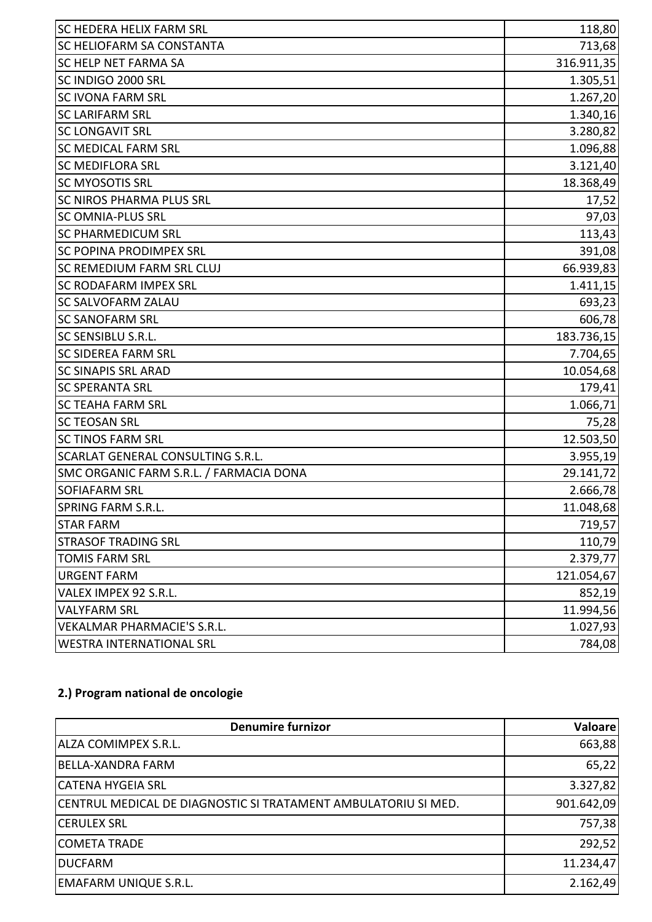| <b>SC HEDERA HELIX FARM SRL</b>         | 118,80     |
|-----------------------------------------|------------|
| SC HELIOFARM SA CONSTANTA               | 713,68     |
| SC HELP NET FARMA SA                    | 316.911,35 |
| SC INDIGO 2000 SRL                      | 1.305,51   |
| <b>SC IVONA FARM SRL</b>                | 1.267,20   |
| <b>SC LARIFARM SRL</b>                  | 1.340,16   |
| <b>SC LONGAVIT SRL</b>                  | 3.280,82   |
| <b>SC MEDICAL FARM SRL</b>              | 1.096,88   |
| <b>SC MEDIFLORA SRL</b>                 | 3.121,40   |
| <b>SC MYOSOTIS SRL</b>                  | 18.368,49  |
| SC NIROS PHARMA PLUS SRL                | 17,52      |
| <b>SC OMNIA-PLUS SRL</b>                | 97,03      |
| <b>SC PHARMEDICUM SRL</b>               | 113,43     |
| <b>SC POPINA PRODIMPEX SRL</b>          | 391,08     |
| SC REMEDIUM FARM SRL CLUJ               | 66.939,83  |
| SC RODAFARM IMPEX SRL                   | 1.411,15   |
| SC SALVOFARM ZALAU                      | 693,23     |
| <b>SC SANOFARM SRL</b>                  | 606,78     |
| <b>SC SENSIBLU S.R.L.</b>               | 183.736,15 |
| <b>SC SIDEREA FARM SRL</b>              | 7.704,65   |
| <b>SC SINAPIS SRL ARAD</b>              | 10.054,68  |
| <b>SC SPERANTA SRL</b>                  | 179,41     |
| <b>SC TEAHA FARM SRL</b>                | 1.066,71   |
| <b>SC TEOSAN SRL</b>                    | 75,28      |
| <b>SC TINOS FARM SRL</b>                | 12.503,50  |
| SCARLAT GENERAL CONSULTING S.R.L.       | 3.955,19   |
| SMC ORGANIC FARM S.R.L. / FARMACIA DONA | 29.141,72  |
| <b>SOFIAFARM SRL</b>                    | 2.666,78   |
| SPRING FARM S.R.L                       | 11.048,68  |
| <b>STAR FARM</b>                        | 719,57     |
| <b>STRASOF TRADING SRL</b>              | 110,79     |
| <b>TOMIS FARM SRL</b>                   | 2.379,77   |
| <b>URGENT FARM</b>                      | 121.054,67 |
| VALEX IMPEX 92 S.R.L.                   | 852,19     |
| <b>VALYFARM SRL</b>                     | 11.994,56  |
| <b>VEKALMAR PHARMACIE'S S.R.L.</b>      | 1.027,93   |
| <b>WESTRA INTERNATIONAL SRL</b>         | 784,08     |

# **2.) Program national de oncologie**

| <b>Denumire furnizor</b>                                       | <b>Valoare</b> |
|----------------------------------------------------------------|----------------|
| <b>ALZA COMIMPEX S.R.L.</b>                                    | 663,88         |
| BELLA-XANDRA FARM                                              | 65,22          |
| <b>CATENA HYGEIA SRL</b>                                       | 3.327,82       |
| CENTRUL MEDICAL DE DIAGNOSTIC SI TRATAMENT AMBULATORIU SI MED. | 901.642,09     |
| <b>CERULEX SRL</b>                                             | 757,38         |
| <b>COMETA TRADE</b>                                            | 292,52         |
| <b>DUCFARM</b>                                                 | 11.234,47      |
| EMAFARM UNIQUE S.R.L.                                          | 2.162,49       |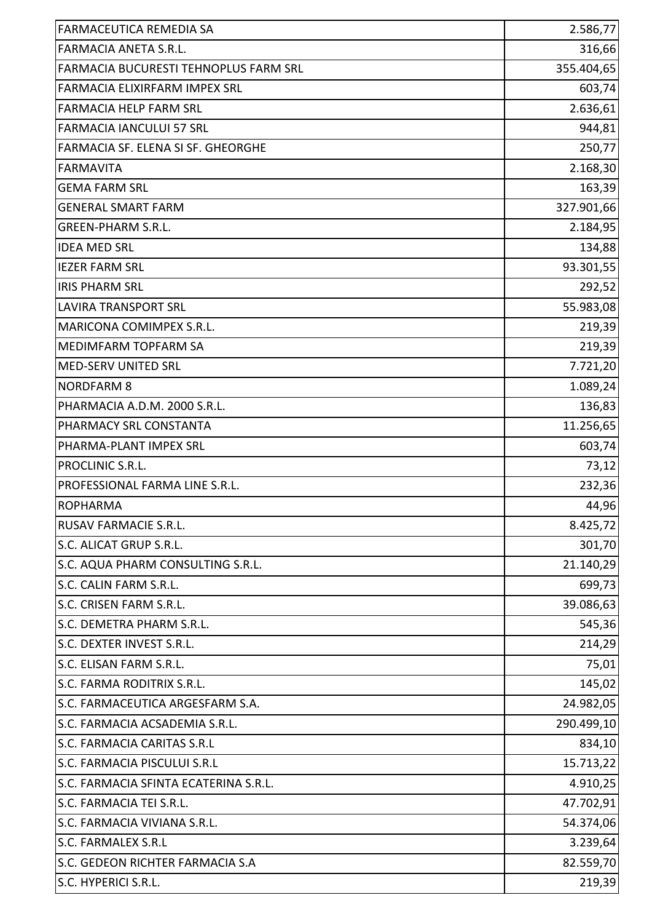| <b>FARMACEUTICA REMEDIA SA</b>        | 2.586,77   |
|---------------------------------------|------------|
| <b>FARMACIA ANETA S.R.L.</b>          | 316,66     |
| FARMACIA BUCURESTI TEHNOPLUS FARM SRL | 355.404,65 |
| <b>FARMACIA ELIXIRFARM IMPEX SRL</b>  | 603,74     |
| <b>FARMACIA HELP FARM SRL</b>         | 2.636,61   |
| <b>FARMACIA IANCULUI 57 SRL</b>       | 944,81     |
| FARMACIA SF. ELENA SI SF. GHEORGHE    | 250,77     |
| <b>FARMAVITA</b>                      | 2.168,30   |
| <b>GEMA FARM SRL</b>                  | 163,39     |
| <b>GENERAL SMART FARM</b>             | 327.901,66 |
| <b>GREEN-PHARM S.R.L.</b>             | 2.184,95   |
| <b>IDEA MED SRL</b>                   | 134,88     |
| <b>IEZER FARM SRL</b>                 | 93.301,55  |
| <b>IRIS PHARM SRL</b>                 | 292,52     |
| <b>LAVIRA TRANSPORT SRL</b>           | 55.983,08  |
| MARICONA COMIMPEX S.R.L.              | 219,39     |
| MEDIMFARM TOPFARM SA                  | 219,39     |
| MED-SERV UNITED SRL                   | 7.721,20   |
| <b>NORDFARM 8</b>                     | 1.089,24   |
| PHARMACIA A.D.M. 2000 S.R.L.          | 136,83     |
| PHARMACY SRL CONSTANTA                | 11.256,65  |
| PHARMA-PLANT IMPEX SRL                | 603,74     |
| PROCLINIC S.R.L.                      | 73,12      |
| PROFESSIONAL FARMA LINE S.R.L.        | 232,36     |
| <b>ROPHARMA</b>                       | 44,96      |
| <b>RUSAV FARMACIE S.R.L.</b>          | 8.425,72   |
| S.C. ALICAT GRUP S.R.L.               | 301,70     |
| S.C. AQUA PHARM CONSULTING S.R.L.     | 21.140,29  |
| S.C. CALIN FARM S.R.L.                | 699,73     |
| S.C. CRISEN FARM S.R.L.               | 39.086,63  |
| S.C. DEMETRA PHARM S.R.L.             | 545,36     |
| S.C. DEXTER INVEST S.R.L.             | 214,29     |
| S.C. ELISAN FARM S.R.L.               | 75,01      |
| S.C. FARMA RODITRIX S.R.L.            | 145,02     |
| S.C. FARMACEUTICA ARGESFARM S.A.      | 24.982,05  |
| S.C. FARMACIA ACSADEMIA S.R.L.        | 290.499,10 |
| <b>S.C. FARMACIA CARITAS S.R.L</b>    | 834,10     |
| S.C. FARMACIA PISCULUI S.R.L          | 15.713,22  |
| S.C. FARMACIA SFINTA ECATERINA S.R.L. | 4.910,25   |
| S.C. FARMACIA TEI S.R.L.              | 47.702,91  |
| S.C. FARMACIA VIVIANA S.R.L.          | 54.374,06  |
| <b>S.C. FARMALEX S.R.L</b>            | 3.239,64   |
| S.C. GEDEON RICHTER FARMACIA S.A      | 82.559,70  |
| S.C. HYPERICI S.R.L.                  | 219,39     |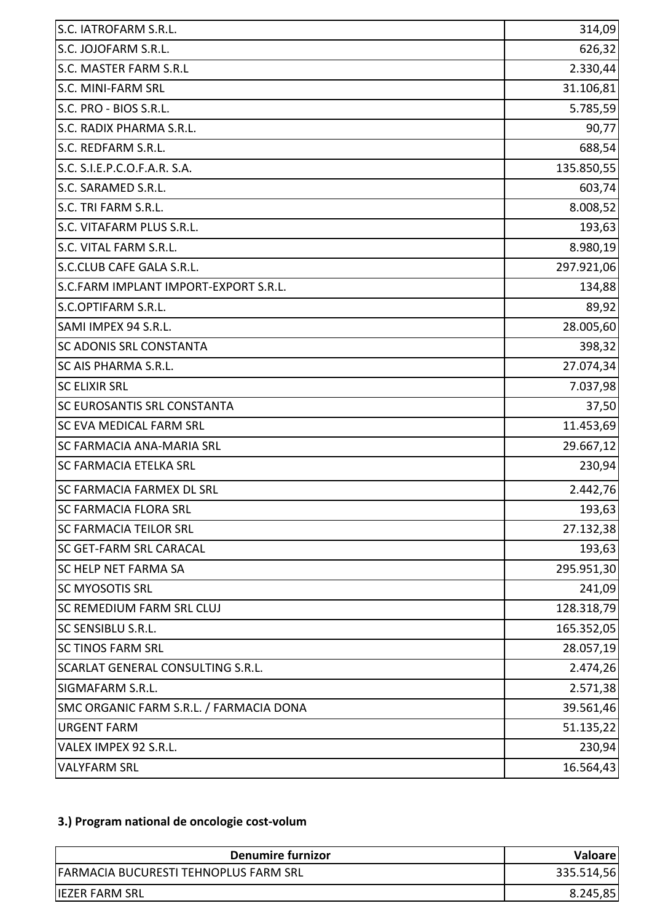| S.C. IATROFARM S.R.L.                   | 314,09     |
|-----------------------------------------|------------|
| S.C. JOJOFARM S.R.L.                    | 626,32     |
| S.C. MASTER FARM S.R.L                  | 2.330,44   |
| S.C. MINI-FARM SRL                      | 31.106,81  |
| S.C. PRO - BIOS S.R.L.                  | 5.785,59   |
| S.C. RADIX PHARMA S.R.L.                | 90,77      |
| S.C. REDFARM S.R.L.                     | 688,54     |
| S.C. S.I.E.P.C.O.F.A.R. S.A.            | 135.850,55 |
| S.C. SARAMED S.R.L.                     | 603,74     |
| S.C. TRI FARM S.R.L.                    | 8.008,52   |
| S.C. VITAFARM PLUS S.R.L.               | 193,63     |
| S.C. VITAL FARM S.R.L.                  | 8.980,19   |
| S.C.CLUB CAFE GALA S.R.L.               | 297.921,06 |
| S.C.FARM IMPLANT IMPORT-EXPORT S.R.L.   | 134,88     |
| S.C.OPTIFARM S.R.L.                     | 89,92      |
| SAMI IMPEX 94 S.R.L.                    | 28.005,60  |
| SC ADONIS SRL CONSTANTA                 | 398,32     |
| SC AIS PHARMA S.R.L.                    | 27.074,34  |
| <b>SC ELIXIR SRL</b>                    | 7.037,98   |
| SC EUROSANTIS SRL CONSTANTA             | 37,50      |
| SC EVA MEDICAL FARM SRL                 | 11.453,69  |
| SC FARMACIA ANA-MARIA SRL               | 29.667,12  |
| <b>SC FARMACIA ETELKA SRL</b>           | 230,94     |
| <b>SC FARMACIA FARMEX DL SRL</b>        | 2.442,76   |
| <b>SC FARMACIA FLORA SRL</b>            | 193,63     |
| <b>SC FARMACIA TEILOR SRL</b>           | 27.132,38  |
| <b>SC GET-FARM SRL CARACAL</b>          | 193,63     |
| <b>SC HELP NET FARMA SA</b>             | 295.951,30 |
| <b>SC MYOSOTIS SRL</b>                  | 241,09     |
| SC REMEDIUM FARM SRL CLUJ               | 128.318,79 |
| SC SENSIBLU S.R.L.                      | 165.352,05 |
| <b>SC TINOS FARM SRL</b>                | 28.057,19  |
| SCARLAT GENERAL CONSULTING S.R.L.       | 2.474,26   |
| SIGMAFARM S.R.L.                        | 2.571,38   |
| SMC ORGANIC FARM S.R.L. / FARMACIA DONA | 39.561,46  |
| <b>URGENT FARM</b>                      | 51.135,22  |
| VALEX IMPEX 92 S.R.L.                   | 230,94     |
| <b>VALYFARM SRL</b>                     | 16.564,43  |

## **3.) Program national de oncologie cost-volum**

| Denumire furnizor                            | <b>Valoare</b> |
|----------------------------------------------|----------------|
| <b>FARMACIA BUCURESTI TEHNOPLUS FARM SRL</b> | 335.514,56     |
| <b>IEZER FARM SRL</b>                        | 8.245,85       |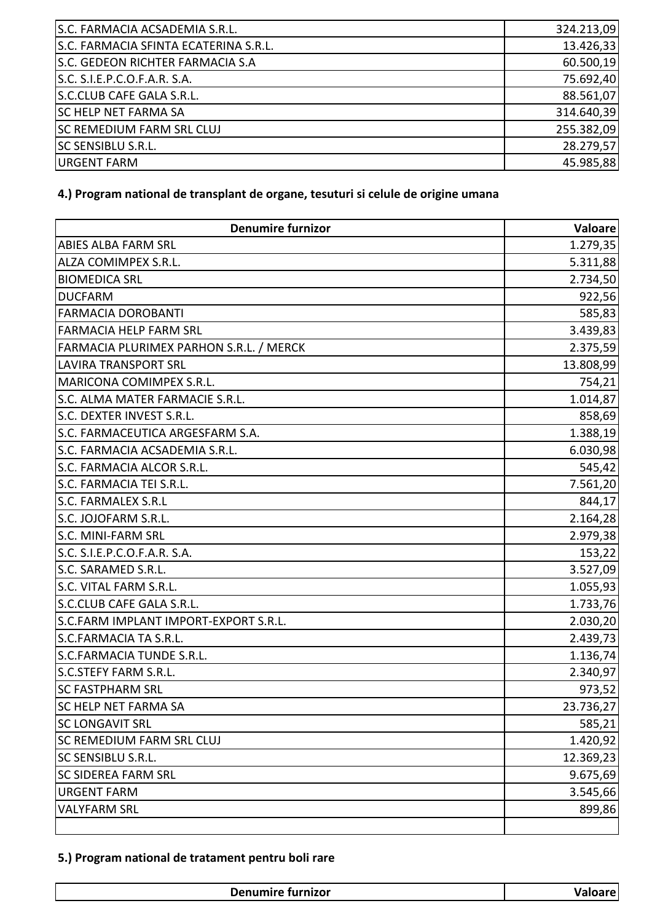| S.C. FARMACIA ACSADEMIA S.R.L.        | 324.213,09 |
|---------------------------------------|------------|
| S.C. FARMACIA SFINTA ECATERINA S.R.L. | 13.426,33  |
| S.C. GEDEON RICHTER FARMACIA S.A      | 60.500,19  |
| S.C. S.I.E.P.C.O.F.A.R. S.A.          | 75.692,40  |
| S.C.CLUB CAFE GALA S.R.L.             | 88.561,07  |
| <b>SC HELP NET FARMA SA</b>           | 314.640,39 |
| <b>SC REMEDIUM FARM SRL CLUJ</b>      | 255.382,09 |
| <b>SC SENSIBLU S.R.L.</b>             | 28.279,57  |
| <b>URGENT FARM</b>                    | 45.985,88  |

### **4.) Program national de transplant de organe, tesuturi si celule de origine umana**

| <b>Denumire furnizor</b>                | <b>Valoare</b> |
|-----------------------------------------|----------------|
| <b>ABIES ALBA FARM SRL</b>              | 1.279,35       |
| ALZA COMIMPEX S.R.L.                    | 5.311,88       |
| <b>BIOMEDICA SRL</b>                    | 2.734,50       |
| <b>DUCFARM</b>                          | 922,56         |
| <b>FARMACIA DOROBANTI</b>               | 585,83         |
| <b>FARMACIA HELP FARM SRL</b>           | 3.439,83       |
| FARMACIA PLURIMEX PARHON S.R.L. / MERCK | 2.375,59       |
| <b>LAVIRA TRANSPORT SRL</b>             | 13.808,99      |
| MARICONA COMIMPEX S.R.L.                | 754,21         |
| S.C. ALMA MATER FARMACIE S.R.L.         | 1.014,87       |
| S.C. DEXTER INVEST S.R.L.               | 858,69         |
| S.C. FARMACEUTICA ARGESFARM S.A.        | 1.388,19       |
| S.C. FARMACIA ACSADEMIA S.R.L.          | 6.030,98       |
| S.C. FARMACIA ALCOR S.R.L.              | 545,42         |
| S.C. FARMACIA TEI S.R.L.                | 7.561,20       |
| <b>S.C. FARMALEX S.R.L</b>              | 844,17         |
| S.C. JOJOFARM S.R.L.                    | 2.164,28       |
| S.C. MINI-FARM SRL                      | 2.979,38       |
| S.C. S.I.E.P.C.O.F.A.R. S.A.            | 153,22         |
| S.C. SARAMED S.R.L.                     | 3.527,09       |
| S.C. VITAL FARM S.R.L.                  | 1.055,93       |
| S.C.CLUB CAFE GALA S.R.L.               | 1.733,76       |
| S.C.FARM IMPLANT IMPORT-EXPORT S.R.L.   | 2.030,20       |
| S.C.FARMACIA TA S.R.L.                  | 2.439,73       |
| <b>S.C.FARMACIA TUNDE S.R.L.</b>        | 1.136,74       |
| <b>S.C.STEFY FARM S.R.L.</b>            | 2.340,97       |
| <b>SC FASTPHARM SRL</b>                 | 973,52         |
| <b>SC HELP NET FARMA SA</b>             | 23.736,27      |
| <b>SC LONGAVIT SRL</b>                  | 585,21         |
| <b>SC REMEDIUM FARM SRL CLUJ</b>        | 1.420,92       |
| <b>SC SENSIBLU S.R.L.</b>               | 12.369,23      |
| <b>SC SIDEREA FARM SRL</b>              | 9.675,69       |
| <b>URGENT FARM</b>                      | 3.545,66       |
| <b>VALYFARM SRL</b>                     | 899,86         |
|                                         |                |

#### **5.) Program national de tratament pentru boli rare**

| Daminatur i<br>mire furnizor.<br>σenur |  |
|----------------------------------------|--|
|                                        |  |